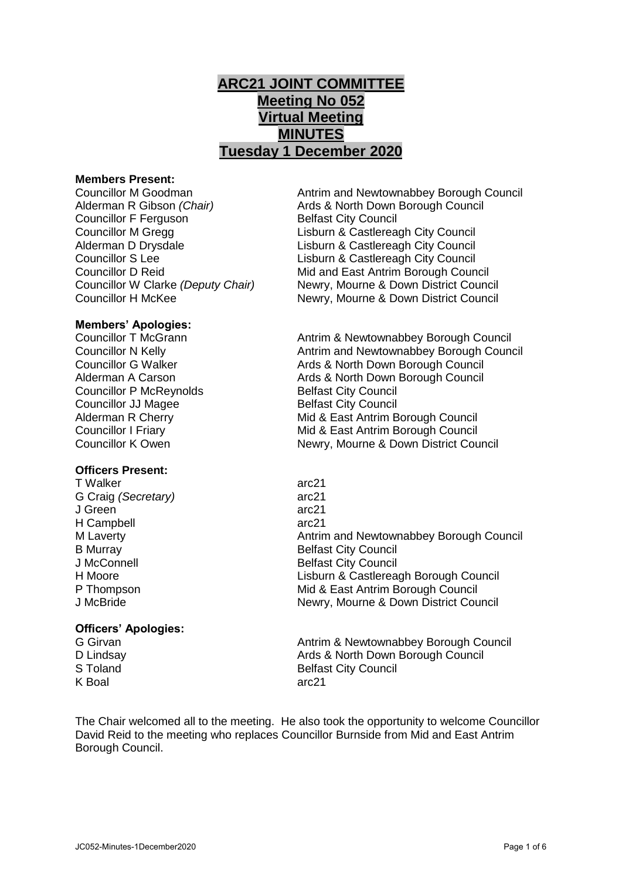# **ARC21 JOINT COMMITTEE Meeting No 052 Virtual Meeting MINUTES Tuesday 1 December 2020**

### **Members Present:**

Councillor F Ferguson Belfast City Council

Councillor M Goodman Antrim and Newtownabbey Borough Council Alderman R Gibson *(Chair)* Ards & North Down Borough Council Councillor M Gregg Lisburn & Castlereagh City Council Alderman D Drysdale **Lisburn & Castlereagh City Council** Councillor S Lee Lisburn & Castlereagh City Council<br>Councillor D Reid Council Mid and East Antrim Borough Council Mid and East Antrim Borough Council Councillor W Clarke *(Deputy Chair)* Newry, Mourne & Down District Council Councillor H McKee Newry, Mourne & Down District Council

# **Members' Apologies:**

Councillor P McReynolds Belfast City Council Councillor JJ Magee Belfast City Council

#### **Officers Present:**

T Walker arc21 G Craig *(Secretary)* arc21 J Green arc21 H Campbell arc21

## **Officers' Apologies:**

K Boal arc21

Councillor T McGrann **Antrim & Newtownabbey Borough Council**<br>Councillor N Kelly **Antrim and Newtownabbey Borough Council** Antrim and Newtownabbey Borough Council Councillor G Walker **Ards & North Down Borough Council** Alderman A Carson **Arists Ards & North Down Borough Council** Alderman R Cherry **Mid & East Antrim Borough Council** Councillor I Friary Mid & East Antrim Borough Council Councillor K Owen Newry, Mourne & Down District Council

M Laverty Antrim and Newtownabbey Borough Council B Murray Belfast City Council J McConnell **Belfast City Council** H Moore **Lisburn & Castlereagh Borough Council** P Thompson Mid & East Antrim Borough Council J McBride Newry, Mourne & Down District Council

G Girvan **Antrim & Newtownabbey Borough Council** Council D Lindsay **D** Lindsay **Ards & North Down Borough Council**<br>S Toland **Belfast City Council Belfast City Council** 

The Chair welcomed all to the meeting. He also took the opportunity to welcome Councillor David Reid to the meeting who replaces Councillor Burnside from Mid and East Antrim Borough Council.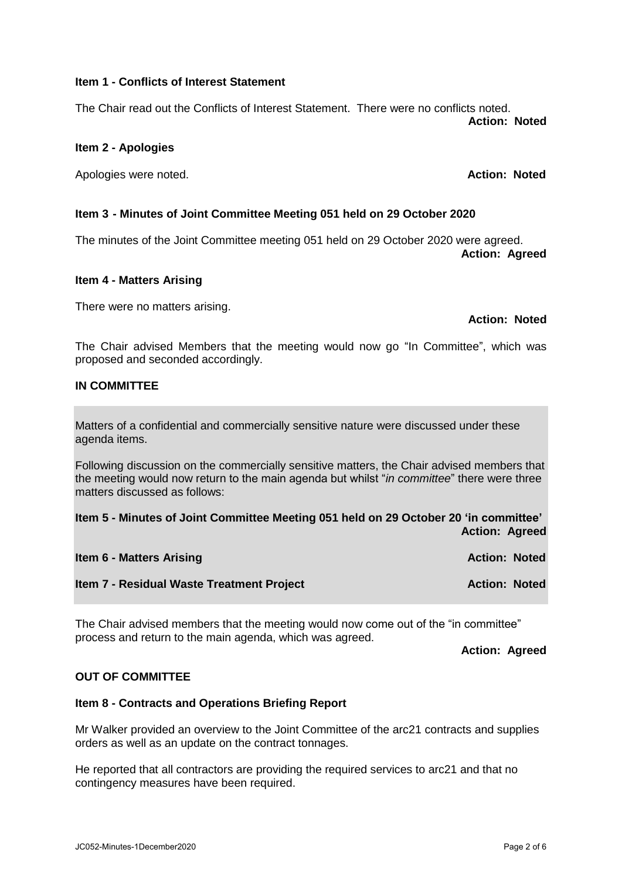### **Item 1 - Conflicts of Interest Statement**

The Chair read out the Conflicts of Interest Statement. There were no conflicts noted. **Action: Noted**

## **Item 2 - Apologies**

Apologies were noted. **Action: Noted** Apologies were noted.

# **Item 3 - Minutes of Joint Committee Meeting 051 held on 29 October 2020**

The minutes of the Joint Committee meeting 051 held on 29 October 2020 were agreed. **Action: Agreed**

# **Item 4 - Matters Arising**

There were no matters arising.

**Action: Noted**

The Chair advised Members that the meeting would now go "In Committee", which was proposed and seconded accordingly.

# **IN COMMITTEE**

Matters of a confidential and commercially sensitive nature were discussed under these agenda items.

Following discussion on the commercially sensitive matters, the Chair advised members that the meeting would now return to the main agenda but whilst "*in committee*" there were three matters discussed as follows:

**Item 5 - Minutes of Joint Committee Meeting 051 held on 29 October 20 'in committee' Action: Agreed**

| <b>Item 6 - Matters Arising</b>           | <b>Action: Noted</b> |  |
|-------------------------------------------|----------------------|--|
| Item 7 - Residual Waste Treatment Project | <b>Action: Noted</b> |  |

The Chair advised members that the meeting would now come out of the "in committee" process and return to the main agenda, which was agreed.

**Action: Agreed**

#### **OUT OF COMMITTEE**

#### **Item 8 - Contracts and Operations Briefing Report**

Mr Walker provided an overview to the Joint Committee of the arc21 contracts and supplies orders as well as an update on the contract tonnages.

He reported that all contractors are providing the required services to arc21 and that no contingency measures have been required.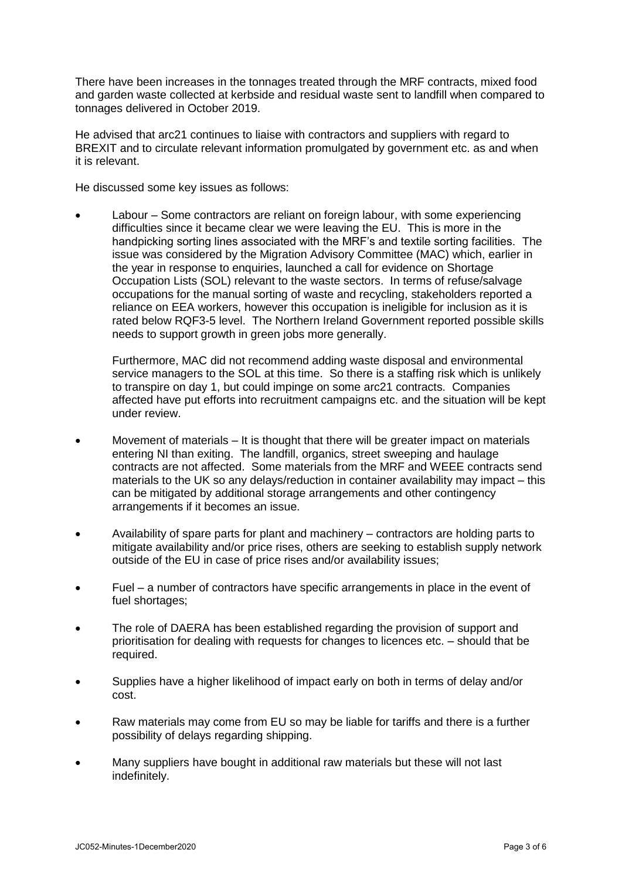There have been increases in the tonnages treated through the MRF contracts, mixed food and garden waste collected at kerbside and residual waste sent to landfill when compared to tonnages delivered in October 2019.

He advised that arc21 continues to liaise with contractors and suppliers with regard to BREXIT and to circulate relevant information promulgated by government etc. as and when it is relevant.

He discussed some key issues as follows:

 Labour – Some contractors are reliant on foreign labour, with some experiencing difficulties since it became clear we were leaving the EU. This is more in the handpicking sorting lines associated with the MRF's and textile sorting facilities. The issue was considered by the Migration Advisory Committee (MAC) which, earlier in the year in response to enquiries, launched a call for evidence on Shortage Occupation Lists (SOL) relevant to the waste sectors. In terms of refuse/salvage occupations for the manual sorting of waste and recycling, stakeholders reported a reliance on EEA workers, however this occupation is ineligible for inclusion as it is rated below RQF3-5 level. The Northern Ireland Government reported possible skills needs to support growth in green jobs more generally.

Furthermore, MAC did not recommend adding waste disposal and environmental service managers to the SOL at this time. So there is a staffing risk which is unlikely to transpire on day 1, but could impinge on some arc21 contracts. Companies affected have put efforts into recruitment campaigns etc. and the situation will be kept under review.

- Movement of materials It is thought that there will be greater impact on materials entering NI than exiting. The landfill, organics, street sweeping and haulage contracts are not affected. Some materials from the MRF and WEEE contracts send materials to the UK so any delays/reduction in container availability may impact – this can be mitigated by additional storage arrangements and other contingency arrangements if it becomes an issue.
- Availability of spare parts for plant and machinery contractors are holding parts to mitigate availability and/or price rises, others are seeking to establish supply network outside of the EU in case of price rises and/or availability issues;
- Fuel a number of contractors have specific arrangements in place in the event of fuel shortages;
- The role of DAERA has been established regarding the provision of support and prioritisation for dealing with requests for changes to licences etc. – should that be required.
- Supplies have a higher likelihood of impact early on both in terms of delay and/or cost.
- Raw materials may come from EU so may be liable for tariffs and there is a further possibility of delays regarding shipping.
- Many suppliers have bought in additional raw materials but these will not last indefinitely.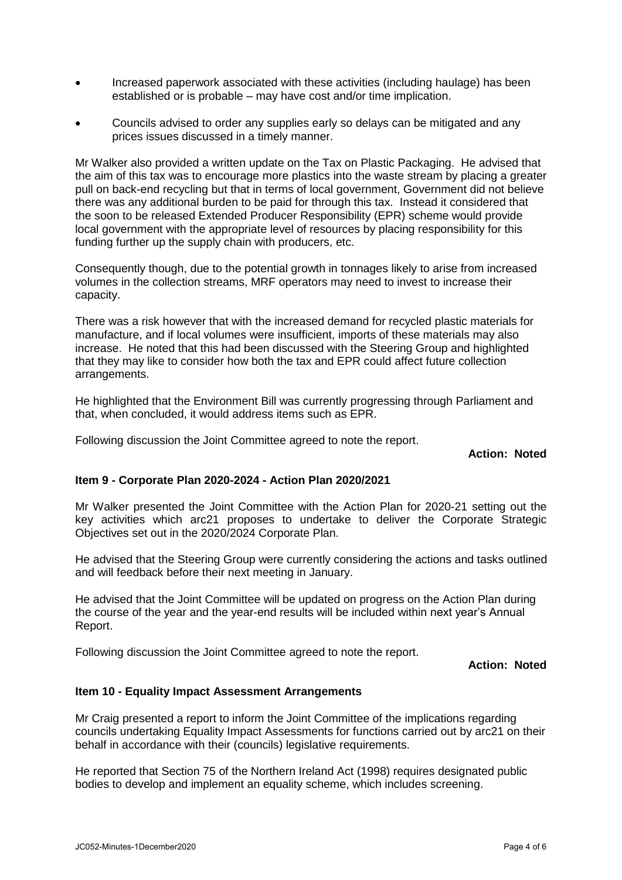- Increased paperwork associated with these activities (including haulage) has been established or is probable – may have cost and/or time implication.
- Councils advised to order any supplies early so delays can be mitigated and any prices issues discussed in a timely manner.

Mr Walker also provided a written update on the Tax on Plastic Packaging. He advised that the aim of this tax was to encourage more plastics into the waste stream by placing a greater pull on back-end recycling but that in terms of local government, Government did not believe there was any additional burden to be paid for through this tax. Instead it considered that the soon to be released Extended Producer Responsibility (EPR) scheme would provide local government with the appropriate level of resources by placing responsibility for this funding further up the supply chain with producers, etc.

Consequently though, due to the potential growth in tonnages likely to arise from increased volumes in the collection streams, MRF operators may need to invest to increase their capacity.

There was a risk however that with the increased demand for recycled plastic materials for manufacture, and if local volumes were insufficient, imports of these materials may also increase. He noted that this had been discussed with the Steering Group and highlighted that they may like to consider how both the tax and EPR could affect future collection arrangements.

He highlighted that the Environment Bill was currently progressing through Parliament and that, when concluded, it would address items such as EPR.

Following discussion the Joint Committee agreed to note the report.

**Action: Noted**

#### **Item 9 - Corporate Plan 2020-2024 - Action Plan 2020/2021**

Mr Walker presented the Joint Committee with the Action Plan for 2020-21 setting out the key activities which arc21 proposes to undertake to deliver the Corporate Strategic Objectives set out in the 2020/2024 Corporate Plan.

He advised that the Steering Group were currently considering the actions and tasks outlined and will feedback before their next meeting in January.

He advised that the Joint Committee will be updated on progress on the Action Plan during the course of the year and the year-end results will be included within next year's Annual Report.

Following discussion the Joint Committee agreed to note the report.

**Action: Noted**

#### **Item 10 - Equality Impact Assessment Arrangements**

Mr Craig presented a report to inform the Joint Committee of the implications regarding councils undertaking Equality Impact Assessments for functions carried out by arc21 on their behalf in accordance with their (councils) legislative requirements.

He reported that Section 75 of the Northern Ireland Act (1998) requires designated public bodies to develop and implement an equality scheme, which includes screening.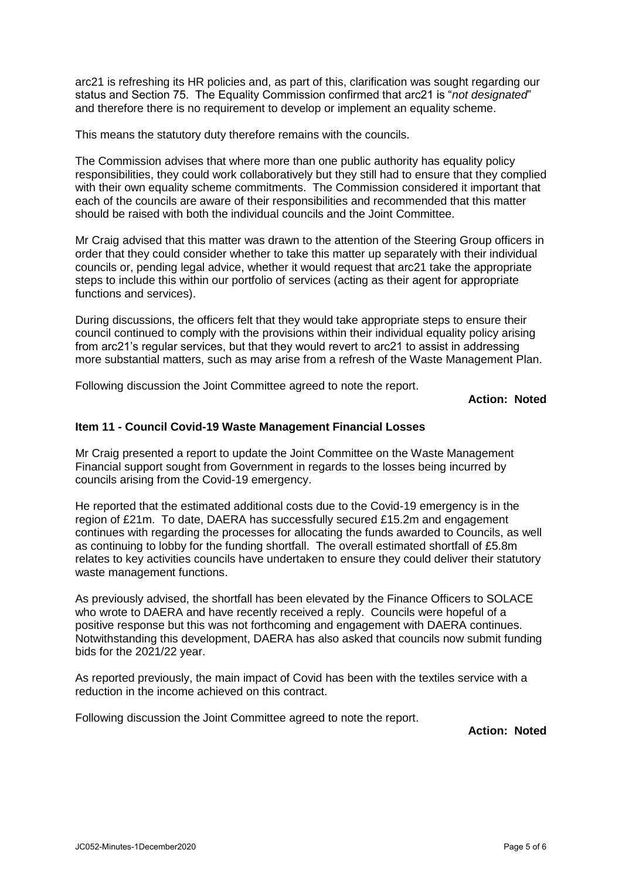arc21 is refreshing its HR policies and, as part of this, clarification was sought regarding our status and Section 75. The Equality Commission confirmed that arc21 is "*not designated*" and therefore there is no requirement to develop or implement an equality scheme.

This means the statutory duty therefore remains with the councils.

The Commission advises that where more than one public authority has equality policy responsibilities, they could work collaboratively but they still had to ensure that they complied with their own equality scheme commitments. The Commission considered it important that each of the councils are aware of their responsibilities and recommended that this matter should be raised with both the individual councils and the Joint Committee.

Mr Craig advised that this matter was drawn to the attention of the Steering Group officers in order that they could consider whether to take this matter up separately with their individual councils or, pending legal advice, whether it would request that arc21 take the appropriate steps to include this within our portfolio of services (acting as their agent for appropriate functions and services).

During discussions, the officers felt that they would take appropriate steps to ensure their council continued to comply with the provisions within their individual equality policy arising from arc21's regular services, but that they would revert to arc21 to assist in addressing more substantial matters, such as may arise from a refresh of the Waste Management Plan.

Following discussion the Joint Committee agreed to note the report.

#### **Action: Noted**

# **Item 11 - Council Covid-19 Waste Management Financial Losses**

Mr Craig presented a report to update the Joint Committee on the Waste Management Financial support sought from Government in regards to the losses being incurred by councils arising from the Covid-19 emergency.

He reported that the estimated additional costs due to the Covid-19 emergency is in the region of £21m. To date, DAERA has successfully secured £15.2m and engagement continues with regarding the processes for allocating the funds awarded to Councils, as well as continuing to lobby for the funding shortfall. The overall estimated shortfall of £5.8m relates to key activities councils have undertaken to ensure they could deliver their statutory waste management functions.

As previously advised, the shortfall has been elevated by the Finance Officers to SOLACE who wrote to DAERA and have recently received a reply. Councils were hopeful of a positive response but this was not forthcoming and engagement with DAERA continues. Notwithstanding this development, DAERA has also asked that councils now submit funding bids for the 2021/22 year.

As reported previously, the main impact of Covid has been with the textiles service with a reduction in the income achieved on this contract.

Following discussion the Joint Committee agreed to note the report.

**Action: Noted**